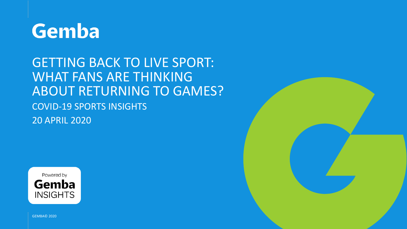

# GETTING BACK TO LIVE SPORT: WHAT FANS ARE THINKING ABOUT RETURNING TO GAMES? COVID-19 SPORTS INSIGHTS 20 APRIL 2020



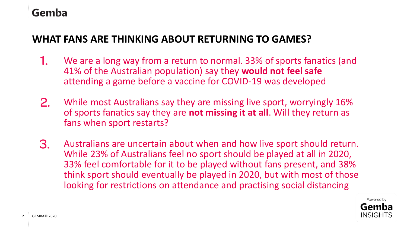### Gemba

### **WHAT FANS ARE THINKING ABOUT RETURNING TO GAMES?**

- We are a long way from a return to normal. 33% of sports fanatics (and 41% of the Australian population) say they **would not feel safe**  attending a game before a vaccine for COVID-19 was developed 1.
- While most Australians say they are missing live sport, worryingly 16% of sports fanatics say they are **not missing it at all**. Will they return as fans when sport restarts? 2.
- Australians are uncertain about when and how live sport should return. While 23% of Australians feel no sport should be played at all in 2020, 33% feel comfortable for it to be played without fans present, and 38% think sport should eventually be played in 2020, but with most of those looking for restrictions on attendance and practising social distancing 3.

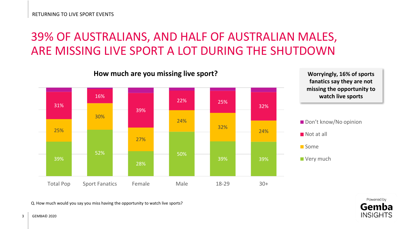### 39% OF AUSTRALIANS, AND HALF OF AUSTRALIAN MALES, ARE MISSING LIVE SPORT A LOT DURING THE SHUTDOWN









**Very much** 



Q. How much would you say you miss having the opportunity to watch live sports?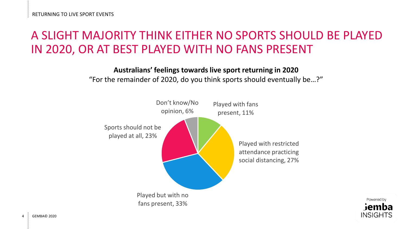### A SLIGHT MAJORITY THINK EITHER NO SPORTS SHOULD BE PLAYED IN 2020, OR AT BEST PLAYED WITH NO FANS PRESENT

**Australians' feelings towards live sport returning in 2020** "For the remainder of 2020, do you think sports should eventually be…?"



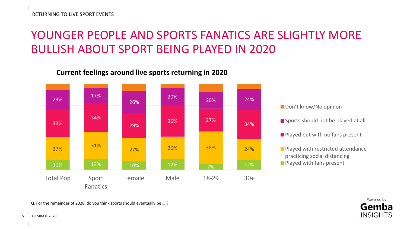### YOUNGER PEOPLE AND SPORTS FANATICS ARE SLIGHTLY MORE BULLISH ABOUT SPORT BEING PLAYED IN 2020

#### **Current feelings around live sports returning in 2020**



Don't know/No opinion

Sports should not be played at all

 $\blacksquare$  Played but with no fans present

**Played with restricted attendance** practicing social distancing **Played with fans present** 

> Powered by Gemba **INSIGHTS**

Q. For the remainder of 2020, do you think sports should eventually be … ?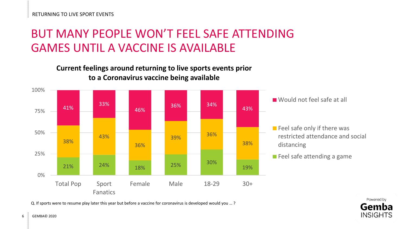# BUT MANY PEOPLE WON'T FEEL SAFE ATTENDING GAMES UNTIL A VACCINE IS AVAILABLE

**Current feelings around returning to live sports events prior to a Coronavirus vaccine being available**



Would not feel safe at all

 $\blacksquare$  Feel safe only if there was restricted attendance and social distancing

**Feel safe attending a game** 

Q. If sports were to resume play later this year but before a vaccine for coronavirus is developed would you … ?

Powered by Gemba **INSIGHTS**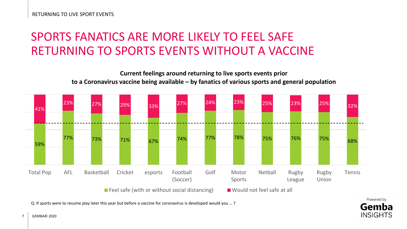# SPORTS FANATICS ARE MORE LIKELY TO FEEL SAFE RETURNING TO SPORTS EVENTS WITHOUT A VACCINE

**Current feelings around returning to live sports events prior to a Coronavirus vaccine being available – by fanatics of various sports and general population**



Gemba **INSIGHTS** 

Q. If sports were to resume play later this year but before a vaccine for coronavirus is developed would you … ?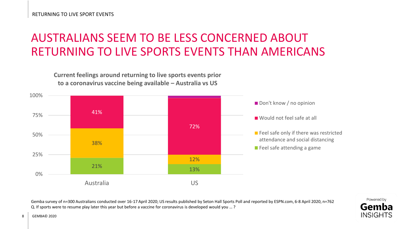# AUSTRALIANS SEEM TO BE LESS CONCERNED ABOUT RETURNING TO LIVE SPORTS EVENTS THAN AMERICANS



Gemba survey of n=300 Australians conducted over 16-17 April 2020; US results published by Seton Hall Sports Poll and reported by ESPN.com, 6-8 April 2020, n=762 Q. If sports were to resume play later this year but before a vaccine for coronavirus is developed would you … ?

 $8 \cdot \cdot$  GFMBA $\odot$  2020

Powered by Gemba **INSIGHTS**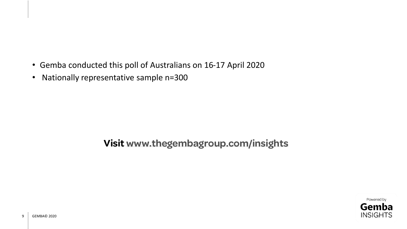- Gemba conducted this poll of Australians on 16-17 April 2020
- Nationally representative sample n=300

### **Visit [www.thegembagroup.com/insights](http://www.thegembagroup.com/insights)**